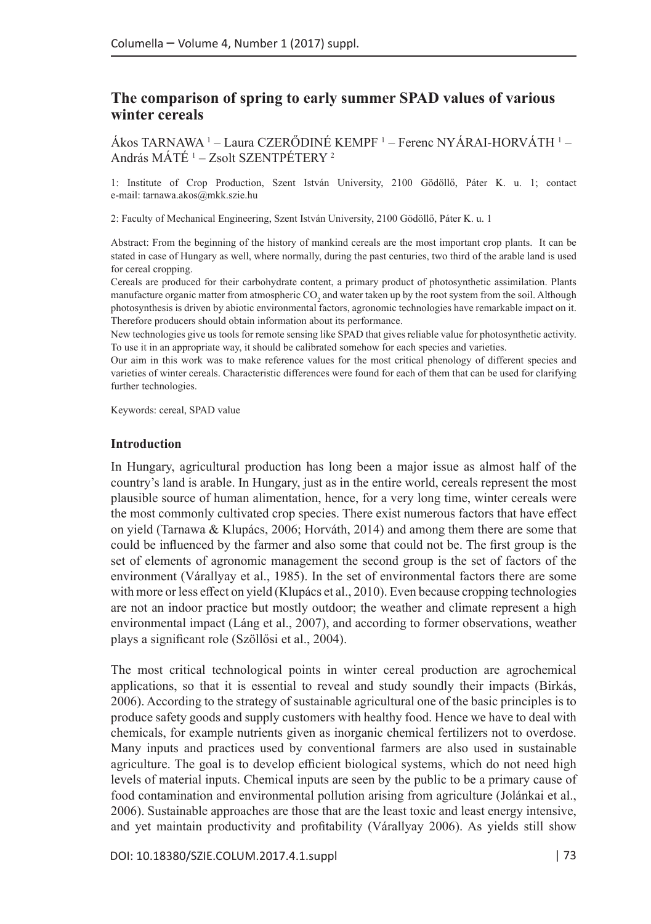## **The comparison of spring to early summer SPAD values of various winter cereals**

Akos TARNAWA <sup>1</sup> – Laura CZERÓDINÉ KEMPF <sup>1</sup> – Ferenc NYÁRAI-HORVÁTH <sup>1</sup> – András MÁTÉ <sup>1</sup> – Zsolt SZENTPÉTERY <sup>2</sup>

1: Institute of Crop Production, Szent István University, 2100 Gödöllő, Páter K. u. 1; contact e-mail: tarnawa.akos@mkk.szie.hu

2: Faculty of Mechanical Engineering, Szent István University, 2100 Gödöllő, Páter K. u. 1

Abstract: From the beginning of the history of mankind cereals are the most important crop plants. It can be stated in case of Hungary as well, where normally, during the past centuries, two third of the arable land is used for cereal cropping.

Cereals are produced for their carbohydrate content, a primary product of photosynthetic assimilation. Plants manufacture organic matter from atmospheric  $\mathrm{CO}_2$  and water taken up by the root system from the soil. Although photosynthesis is driven by abiotic environmental factors, agronomic technologies have remarkable impact on it. Therefore producers should obtain information about its performance.

New technologies give us tools for remote sensing like SPAD that gives reliable value for photosynthetic activity. To use it in an appropriate way, it should be calibrated somehow for each species and varieties.

Our aim in this work was to make reference values for the most critical phenology of different species and varieties of winter cereals. Characteristic differences were found for each of them that can be used for clarifying further technologies.

Keywords: cereal, SPAD value

#### **Introduction**

In Hungary, agricultural production has long been a major issue as almost half of the country's land is arable. In Hungary, just as in the entire world, cereals represent the most plausible source of human alimentation, hence, for a very long time, winter cereals were the most commonly cultivated crop species. There exist numerous factors that have effect on yield (Tarnawa & Klupács, 2006; Horváth, 2014) and among them there are some that could be influenced by the farmer and also some that could not be. The first group is the set of elements of agronomic management the second group is the set of factors of the environment (Várallyay et al., 1985). In the set of environmental factors there are some with more or less effect on yield (Klupács et al., 2010). Even because cropping technologies are not an indoor practice but mostly outdoor; the weather and climate represent a high environmental impact (Láng et al., 2007), and according to former observations, weather plays a significant role (Szöllősi et al., 2004).

The most critical technological points in winter cereal production are agrochemical applications, so that it is essential to reveal and study soundly their impacts (Birkás, 2006). According to the strategy of sustainable agricultural one of the basic principles is to produce safety goods and supply customers with healthy food. Hence we have to deal with chemicals, for example nutrients given as inorganic chemical fertilizers not to overdose. Many inputs and practices used by conventional farmers are also used in sustainable agriculture. The goal is to develop efficient biological systems, which do not need high levels of material inputs. Chemical inputs are seen by the public to be a primary cause of food contamination and environmental pollution arising from agriculture (Jolánkai et al., 2006). Sustainable approaches are those that are the least toxic and least energy intensive, and yet maintain productivity and profitability (Várallyay 2006). As yields still show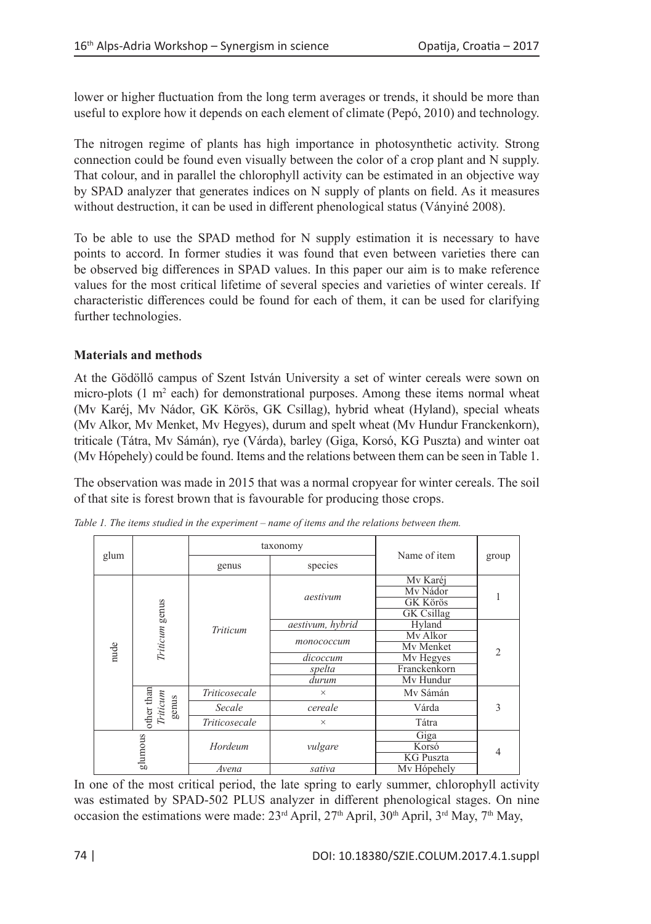lower or higher fluctuation from the long term averages or trends, it should be more than useful to explore how it depends on each element of climate (Pepó, 2010) and technology.

The nitrogen regime of plants has high importance in photosynthetic activity. Strong connection could be found even visually between the color of a crop plant and N supply. That colour, and in parallel the chlorophyll activity can be estimated in an objective way by SPAD analyzer that generates indices on N supply of plants on field. As it measures without destruction, it can be used in different phenological status (Ványiné 2008).

To be able to use the SPAD method for N supply estimation it is necessary to have points to accord. In former studies it was found that even between varieties there can be observed big differences in SPAD values. In this paper our aim is to make reference values for the most critical lifetime of several species and varieties of winter cereals. If characteristic differences could be found for each of them, it can be used for clarifying further technologies.

## **Materials and methods**

At the Gödöllő campus of Szent István University a set of winter cereals were sown on micro-plots  $(1 \text{ m}^2 \text{ each})$  for demonstrational purposes. Among these items normal wheat (Mv Karéj, Mv Nádor, GK Körös, GK Csillag), hybrid wheat (Hyland), special wheats (Mv Alkor, Mv Menket, Mv Hegyes), durum and spelt wheat (Mv Hundur Franckenkorn), triticale (Tátra, Mv Sámán), rye (Várda), barley (Giga, Korsó, KG Puszta) and winter oat (Mv Hópehely) could be found. Items and the relations between them can be seen in Table 1.

The observation was made in 2015 that was a normal cropyear for winter cereals. The soil of that site is forest brown that is favourable for producing those crops.

|  |         |                                                                                   | taxonomy      |                  | Name of item                  |                |
|--|---------|-----------------------------------------------------------------------------------|---------------|------------------|-------------------------------|----------------|
|  | glum    |                                                                                   | genus         | species          |                               | group          |
|  | nude    | Triticum genus                                                                    | Triticum      | aestivum         | Mv Karéj<br>My Nádor          |                |
|  |         |                                                                                   |               |                  | <b>GK Körös</b><br>GK Csillag |                |
|  |         |                                                                                   |               | aestivum, hybrid | Hyland                        | $\mathfrak{D}$ |
|  |         |                                                                                   |               | топососсит       | My Alkor                      |                |
|  |         |                                                                                   |               |                  | Mv Menket                     |                |
|  |         |                                                                                   |               | dicoccum         | My Hegyes                     |                |
|  |         |                                                                                   |               | spelta           | Franckenkorn                  |                |
|  |         |                                                                                   |               | durum            | Mv Hundur                     |                |
|  |         | $\begin{tabular}{c} \bf other than \\ \bf Triticum \\ \bf genus \\ \end{tabular}$ | Triticosecale | $\times$         | My Sámán                      | 3              |
|  |         |                                                                                   | Secale        | cereale          | Várda                         |                |
|  |         |                                                                                   | Triticosecale | $\times$         | Tátra                         |                |
|  | glumous |                                                                                   | Hordeum       | vulgare          | Giga                          | 4              |
|  |         |                                                                                   |               |                  | Korsó                         |                |
|  |         |                                                                                   |               |                  | <b>KG Puszta</b>              |                |
|  |         |                                                                                   | Avena         | sativa           | My Hópehely                   |                |

*Table 1. The items studied in the experiment – name of items and the relations between them.*

In one of the most critical period, the late spring to early summer, chlorophyll activity was estimated by SPAD-502 PLUS analyzer in different phenological stages. On nine occasion the estimations were made:  $23<sup>rd</sup>$  April,  $27<sup>th</sup>$  April,  $30<sup>th</sup>$  April,  $3<sup>rd</sup>$  May,  $7<sup>th</sup>$  May,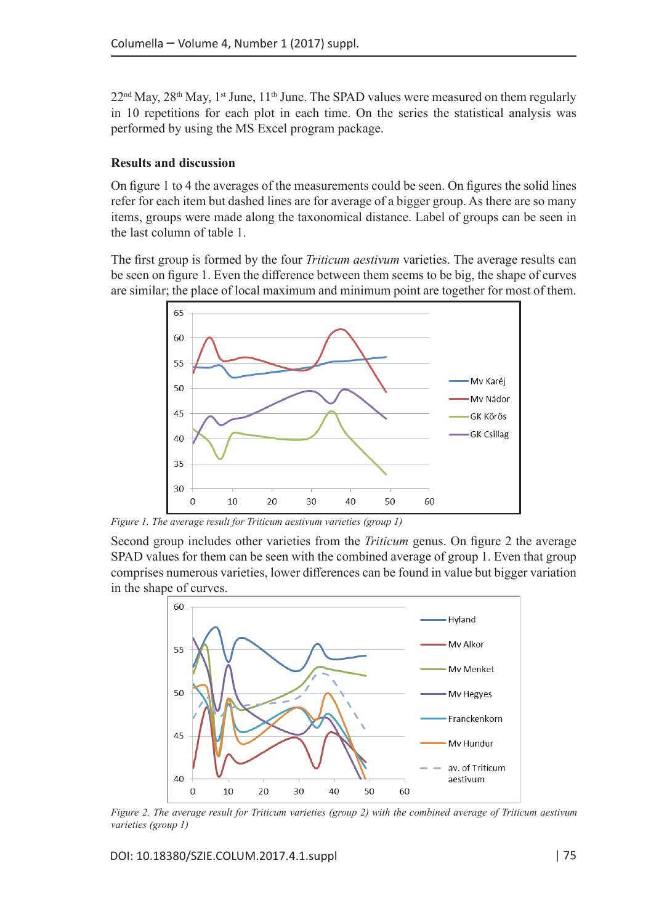$22<sup>nd</sup>$  May,  $28<sup>th</sup>$  May,  $1<sup>st</sup>$  June,  $11<sup>th</sup>$  June. The SPAD values were measured on them regularly in 10 repetitions for each plot in each time. On the series the statistical analysis was performed by using the MS Excel program package.

### **Results and discussion**

On figure 1 to 4 the averages of the measurements could be seen. On figures the solid lines refer for each item but dashed lines are for average of a bigger group. As there are so many items, groups were made along the taxonomical distance. Label of groups can be seen in the last column of table 1.

The first group is formed by the four *Triticum aestivum* varieties. The average results can be seen on figure 1. Even the difference between them seems to be big, the shape of curves are similar; the place of local maximum and minimum point are together for most of them.



*Figure 1. The average result for Triticum aestivum varieties (group 1)*

Second group includes other varieties from the *Triticum* genus. On figure 2 the average SPAD values for them can be seen with the combined average of group 1. Even that group comprises numerous varieties, lower differences can be found in value but bigger variation in the shape of curves.



*Figure 2. The average result for Triticum varieties (group 2) with the combined average of Triticum aestivum varieties (group 1)*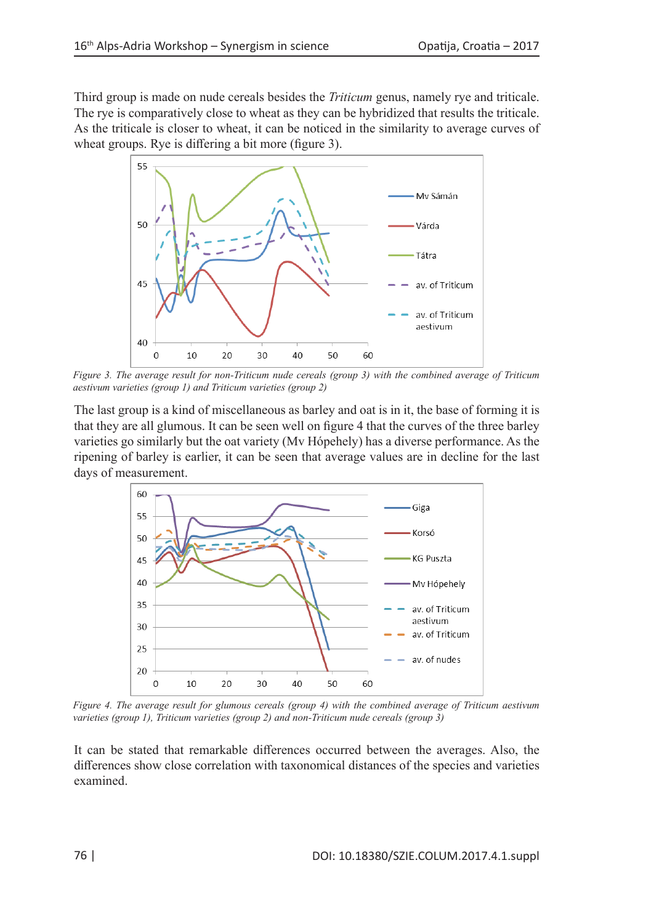Third group is made on nude cereals besides the *Triticum* genus, namely rye and triticale. The rye is comparatively close to wheat as they can be hybridized that results the triticale. As the triticale is closer to wheat, it can be noticed in the similarity to average curves of wheat groups. Rye is differing a bit more (figure 3).



*Figure 3. The average result for non-Triticum nude cereals (group 3) with the combined average of Triticum aestivum varieties (group 1) and Triticum varieties (group 2)*

The last group is a kind of miscellaneous as barley and oat is in it, the base of forming it is that they are all glumous. It can be seen well on figure 4 that the curves of the three barley varieties go similarly but the oat variety (Mv Hópehely) has a diverse performance. As the ripening of barley is earlier, it can be seen that average values are in decline for the last days of measurement.



*Figure 4. The average result for glumous cereals (group 4) with the combined average of Triticum aestivum varieties (group 1), Triticum varieties (group 2) and non-Triticum nude cereals (group 3)*

It can be stated that remarkable differences occurred between the averages. Also, the differences show close correlation with taxonomical distances of the species and varieties examined.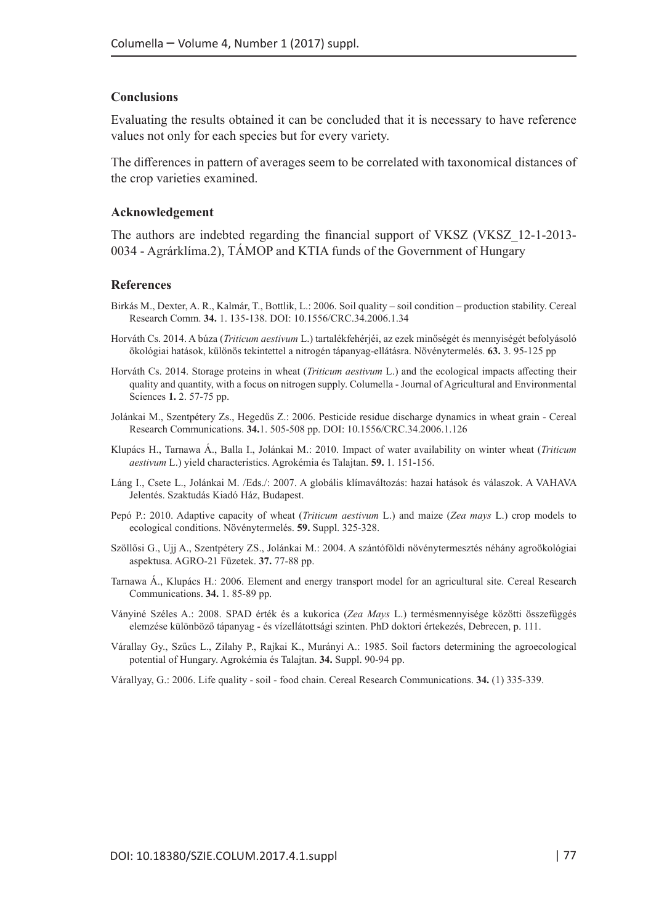### **Conclusions**

Evaluating the results obtained it can be concluded that it is necessary to have reference values not only for each species but for every variety.

The differences in pattern of averages seem to be correlated with taxonomical distances of the crop varieties examined.

#### **Acknowledgement**

The authors are indebted regarding the financial support of VKSZ (VKSZ\_12-1-2013- 0034 - Agrárklíma.2), TÁMOP and KTIA funds of the Government of Hungary

#### **References**

- Birkás M., Dexter, A. R., Kalmár, T., Bottlik, L.: 2006. Soil quality soil condition production stability. Cereal Research Comm. **34.** 1. 135-138. DOI: 10.1556/CRC.34.2006.1.34
- Horváth Cs. 2014. A búza (*Triticum aestivum* L.) tartalékfehérjéi, az ezek minőségét és mennyiségét befolyásoló ökológiai hatások, különös tekintettel a nitrogén tápanyag-ellátásra. Növénytermelés. **63.** 3. 95-125 pp
- Horváth Cs. 2014. Storage proteins in wheat (*Triticum aestivum* L.) and the ecological impacts affecting their quality and quantity, with a focus on nitrogen supply. Columella - Journal of Agricultural and Environmental Sciences **1.** 2. 57-75 pp.
- Jolánkai M., Szentpétery Zs., Hegedűs Z.: 2006. Pesticide residue discharge dynamics in wheat grain Cereal Research Communications. **34.**1. 505-508 pp. DOI: 10.1556/CRC.34.2006.1.126
- Klupács H., Tarnawa Á., Balla I., Jolánkai M.: 2010. Impact of water availability on winter wheat (*Triticum aestivum* L.) yield characteristics. Agrokémia és Talajtan. **59.** 1. 151-156.
- Láng I., Csete L., Jolánkai M. /Eds./: 2007. A globális klímaváltozás: hazai hatások és válaszok. A VAHAVA Jelentés. Szaktudás Kiadó Ház, Budapest.
- Pepó P.: 2010. Adaptive capacity of wheat (*Triticum aestivum* L.) and maize (*Zea mays* L.) crop models to ecological conditions. Növénytermelés. **59.** Suppl. 325-328.
- Szöllősi G., Ujj A., Szentpétery ZS., Jolánkai M.: 2004. A szántóföldi növénytermesztés néhány agroökológiai aspektusa. AGRO-21 Füzetek. **37.** 77-88 pp.
- Tarnawa Á., Klupács H.: 2006. Element and energy transport model for an agricultural site. Cereal Research Communications. **34.** 1. 85-89 pp.
- Ványiné Széles A.: 2008. SPAD érték és a kukorica (*Zea Mays* L.) termésmennyisége közötti összefüggés elemzése különböző tápanyag - és vízellátottsági szinten. PhD doktori értekezés, Debrecen, p. 111.
- Várallay Gy., Szűcs L., Zilahy P., Rajkai K., Murányi A.: 1985. Soil factors determining the agroecological potential of Hungary. Agrokémia és Talajtan. **34.** Suppl. 90-94 pp.
- Várallyay, G.: 2006. Life quality soil food chain. Cereal Research Communications. **34.** (1) 335-339.